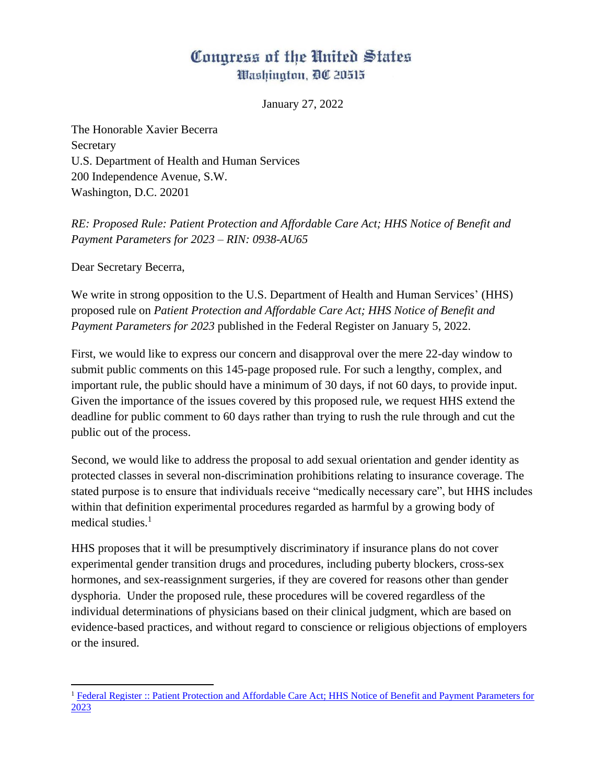## Congress of the United States Washington, DC 20515

January 27, 2022

The Honorable Xavier Becerra Secretary U.S. Department of Health and Human Services 200 Independence Avenue, S.W. Washington, D.C. 20201

## *RE: Proposed Rule: Patient Protection and Affordable Care Act; HHS Notice of Benefit and Payment Parameters for 2023 – RIN: 0938-AU65*

Dear Secretary Becerra,

We write in strong opposition to the U.S. Department of Health and Human Services' (HHS) proposed rule on *Patient Protection and Affordable Care Act; HHS Notice of Benefit and Payment Parameters for 2023* published in the Federal Register on January 5, 2022.

First, we would like to express our concern and disapproval over the mere 22-day window to submit public comments on this 145-page proposed rule. For such a lengthy, complex, and important rule, the public should have a minimum of 30 days, if not 60 days, to provide input. Given the importance of the issues covered by this proposed rule, we request HHS extend the deadline for public comment to 60 days rather than trying to rush the rule through and cut the public out of the process.

Second, we would like to address the proposal to add sexual orientation and gender identity as protected classes in several non-discrimination prohibitions relating to insurance coverage. The stated purpose is to ensure that individuals receive "medically necessary care", but HHS includes within that definition experimental procedures regarded as harmful by a growing body of medical studies.<sup>1</sup>

HHS proposes that it will be presumptively discriminatory if insurance plans do not cover experimental gender transition drugs and procedures, including puberty blockers, cross-sex hormones, and sex-reassignment surgeries, if they are covered for reasons other than gender dysphoria. Under the proposed rule, these procedures will be covered regardless of the individual determinations of physicians based on their clinical judgment, which are based on evidence-based practices, and without regard to conscience or religious objections of employers or the insured.

<sup>&</sup>lt;sup>1</sup> Federal Register :: Patient Protection and Affordable Care Act; HHS Notice of Benefit and Payment Parameters for [2023](https://www.federalregister.gov/documents/2022/01/05/2021-28317/patient-protection-and-affordable-care-act-hhs-notice-of-benefit-and-payment-parameters-for-2023)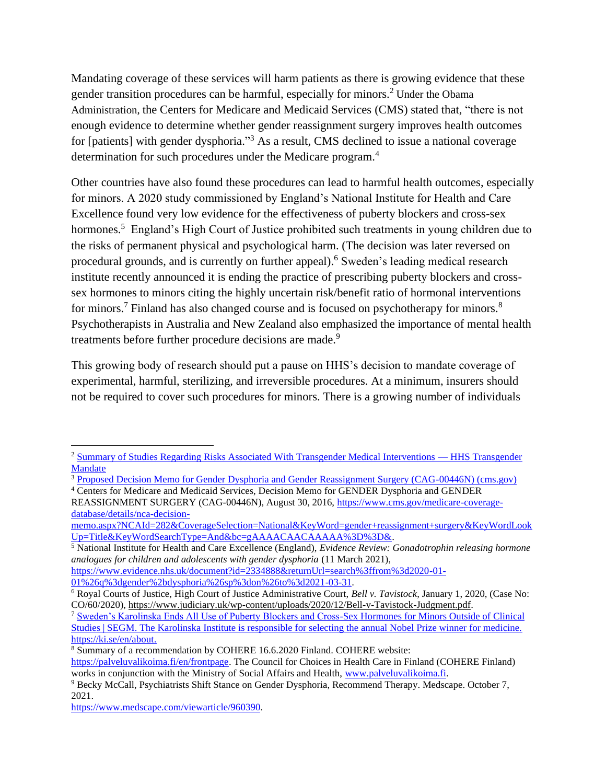Mandating coverage of these services will harm patients as there is growing evidence that these gender transition procedures can be harmful, especially for minors.<sup>2</sup> Under the Obama Administration, the Centers for Medicare and Medicaid Services (CMS) stated that, "there is not enough evidence to determine whether gender reassignment surgery improves health outcomes for [patients] with gender dysphoria."<sup>3</sup> As a result, CMS declined to issue a national coverage determination for such procedures under the Medicare program.<sup>4</sup>

Other countries have also found these procedures can lead to harmful health outcomes, especially for minors. A 2020 study commissioned by England's National Institute for Health and Care Excellence found very low evidence for the effectiveness of puberty blockers and cross-sex hormones.<sup>5</sup> England's High Court of Justice prohibited such treatments in young children due to the risks of permanent physical and psychological harm. (The decision was later reversed on procedural grounds, and is currently on further appeal). <sup>6</sup> Sweden's leading medical research institute recently announced it is ending the practice of prescribing puberty blockers and crosssex hormones to minors citing the highly uncertain risk/benefit ratio of hormonal interventions for minors.<sup>7</sup> Finland has also changed course and is focused on psychotherapy for minors.<sup>8</sup> Psychotherapists in Australia and New Zealand also emphasized the importance of mental health treatments before further procedure decisions are made.<sup>9</sup>

This growing body of research should put a pause on HHS's decision to mandate coverage of experimental, harmful, sterilizing, and irreversible procedures. At a minimum, insurers should not be required to cover such procedures for minors. There is a growing number of individuals

REASSIGNMENT SURGERY (CAG-00446N), August 30, 2016[, https://www.cms.gov/medicare-coverage](https://www.cms.gov/medicare-coverage-database/details/nca-decision-memo.aspx?NCAId=282&CoverageSelection=National&KeyWord=gender+reassignment+surgery&KeyWordLookUp=Title&KeyWordSearchType=And&bc=gAAAACAACAAAAA%3D%3D&)[database/details/nca-decision-](https://www.cms.gov/medicare-coverage-database/details/nca-decision-memo.aspx?NCAId=282&CoverageSelection=National&KeyWord=gender+reassignment+surgery&KeyWordLookUp=Title&KeyWordSearchType=And&bc=gAAAACAACAAAAA%3D%3D&)

[memo.aspx?NCAId=282&CoverageSelection=National&KeyWord=gender+reassignment+surgery&KeyWordLook](https://www.cms.gov/medicare-coverage-database/details/nca-decision-memo.aspx?NCAId=282&CoverageSelection=National&KeyWord=gender+reassignment+surgery&KeyWordLookUp=Title&KeyWordSearchType=And&bc=gAAAACAACAAAAA%3D%3D&) [Up=Title&KeyWordSearchType=And&bc=gAAAACAACAAAAA%3D%3D&.](https://www.cms.gov/medicare-coverage-database/details/nca-decision-memo.aspx?NCAId=282&CoverageSelection=National&KeyWord=gender+reassignment+surgery&KeyWordLookUp=Title&KeyWordSearchType=And&bc=gAAAACAACAAAAA%3D%3D&)

<sup>5</sup> National Institute for Health and Care Excellence (England), *Evidence Review: Gonadotrophin releasing hormone analogues for children and adolescents with gender dysphoria* (11 March 2021),

<sup>8</sup> Summary of a recommendation by COHERE 16.6.2020 Finland. COHERE website:

[https://www.medscape.com/viewarticle/960390.](https://www.medscape.com/viewarticle/960390)

<sup>2</sup> [Summary of Studies Regarding Risks Associated With Transgender Medical Interventions —](https://www.transgendermandate.org/research) HHS Transgender [Mandate](https://www.transgendermandate.org/research)

<sup>&</sup>lt;sup>3</sup> [Proposed Decision Memo for Gender Dysphoria and Gender Reassignment Surgery \(CAG-00446N\) \(cms.gov\)](https://www.cms.gov/medicare-coverage-database/details/nca-proposed-decision-memo.aspx?NCAId=282)

<sup>&</sup>lt;sup>4</sup> Centers for Medicare and Medicaid Services, Decision Memo for GENDER Dysphoria and GENDER

[https://www.evidence.nhs.uk/document?id=2334888&returnUrl=search%3ffrom%3d2020-01-](https://www.evidence.nhs.uk/document?id=2334888&returnUrl=search%3ffrom%3d2020-01-01%26q%3dgender%2bdysphoria%26sp%3don%26to%3d2021-03-31) [01%26q%3dgender%2bdysphoria%26sp%3don%26to%3d2021-03-31.](https://www.evidence.nhs.uk/document?id=2334888&returnUrl=search%3ffrom%3d2020-01-01%26q%3dgender%2bdysphoria%26sp%3don%26to%3d2021-03-31)

<sup>6</sup> Royal Courts of Justice, High Court of Justice Administrative Court, *Bell v. Tavistock*, January 1, 2020, (Case No: CO/60/2020), [https://www.judiciary.uk/wp-content/uploads/2020/12/Bell-v-Tavistock-Judgment.pdf.](https://www.judiciary.uk/wp-content/uploads/2020/12/Bell-v-Tavistock-Judgment.pdf)

<sup>7</sup> [Sweden's Karolinska Ends All Use of Puberty Blockers and Cross-Sex Hormones for Minors Outside of Clinical](https://segm.org/Sweden_ends_use_of_Dutch_protocol)  [Studies | SEGM.](https://segm.org/Sweden_ends_use_of_Dutch_protocol) The Karolinska Institute is responsible for selecting the annual Nobel Prize winner for medicine. [https://ki.se/en/about.](https://ki.se/en/about)

[https://palveluvalikoima.fi/en/frontpage.](https://palveluvalikoima.fi/en/frontpage) The Council for Choices in Health Care in Finland (COHERE Finland) works in conjunction with the Ministry of Social Affairs and Health, [www.palveluvalikoima.fi.](http://www.palveluvalikoima.fi/)

<sup>9</sup> Becky McCall, Psychiatrists Shift Stance on Gender Dysphoria, Recommend Therapy. Medscape. October 7, 2021.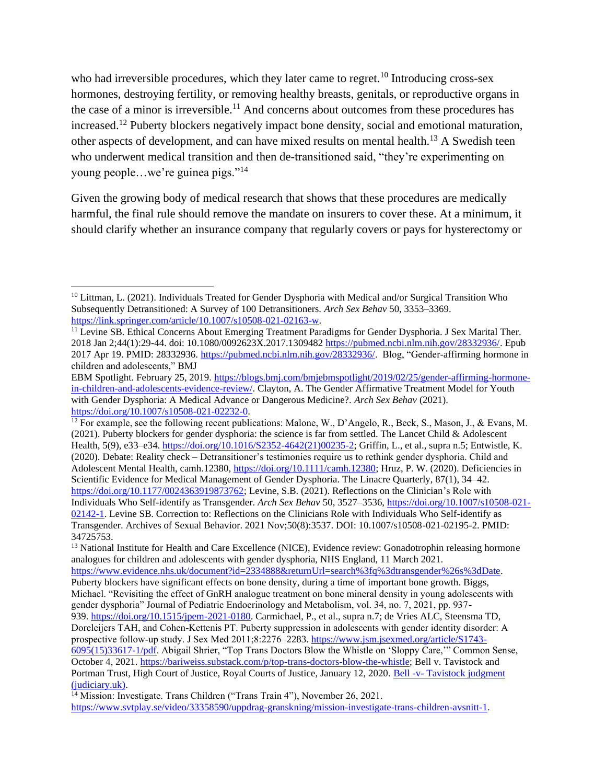who had irreversible procedures, which they later came to regret.<sup>10</sup> Introducing cross-sex hormones, destroying fertility, or removing healthy breasts, genitals, or reproductive organs in the case of a minor is irreversible.<sup>11</sup> And concerns about outcomes from these procedures has increased.<sup>12</sup> Puberty blockers negatively impact bone density, social and emotional maturation, other aspects of development, and can have mixed results on mental health.<sup>13</sup> A Swedish teen who underwent medical transition and then de-transitioned said, "they're experimenting on young people…we're guinea pigs."<sup>14</sup>

Given the growing body of medical research that shows that these procedures are medically harmful, the final rule should remove the mandate on insurers to cover these. At a minimum, it should clarify whether an insurance company that regularly covers or pays for hysterectomy or

[https://www.svtplay.se/video/33358590/uppdrag-granskning/mission-investigate-trans-children-avsnitt-1.](https://www.svtplay.se/video/33358590/uppdrag-granskning/mission-investigate-trans-children-avsnitt-1)

<sup>10</sup> Littman, L. (2021). Individuals Treated for Gender Dysphoria with Medical and/or Surgical Transition Who Subsequently Detransitioned: A Survey of 100 Detransitioners. *Arch Sex Behav* 50, 3353–3369. [https://link.springer.com/article/10.1007/s10508-021-02163-w.](https://link.springer.com/article/10.1007/s10508-021-02163-w)

<sup>&</sup>lt;sup>11</sup> Levine SB. Ethical Concerns About Emerging Treatment Paradigms for Gender Dysphoria. J Sex Marital Ther. 2018 Jan 2;44(1):29-44. doi: 10.1080/0092623X.2017.1309482 [https://pubmed.ncbi.nlm.nih.gov/28332936/.](https://pubmed.ncbi.nlm.nih.gov/28332936/) Epub 2017 Apr 19. PMID: 28332936. [https://pubmed.ncbi.nlm.nih.gov/28332936/.](https://pubmed.ncbi.nlm.nih.gov/28332936/) Blog, "Gender-affirming hormone in children and adolescents," BMJ

EBM Spotlight. February 25, 2019. [https://blogs.bmj.com/bmjebmspotlight/2019/02/25/gender-affirming-hormone](https://blogs.bmj.com/bmjebmspotlight/2019/02/25/gender-affirming-hormone-in-children-and-adolescents-evidence-review/)[in-children-and-adolescents-evidence-review/.](https://blogs.bmj.com/bmjebmspotlight/2019/02/25/gender-affirming-hormone-in-children-and-adolescents-evidence-review/) Clayton, A. The Gender Affirmative Treatment Model for Youth with Gender Dysphoria: A Medical Advance or Dangerous Medicine?. *Arch Sex Behav* (2021). [https://doi.org/10.1007/s10508-021-02232-0.](https://doi.org/10.1007/s10508-021-02232-0)

<sup>&</sup>lt;sup>12</sup> For example, see the following recent publications: Malone, W., D'Angelo, R., Beck, S., Mason, J., & Evans, M. (2021). Puberty blockers for gender dysphoria: the science is far from settled. The Lancet Child & Adolescent Health, 5(9), e33-e34. [https://doi.org/10.1016/S2352-4642\(21\)00235-2;](https://doi.org/10.1016/S2352-4642(21)00235-2) Griffin, L., et al., supra n.5; Entwistle, K. (2020). Debate: Reality check – Detransitioner's testimonies require us to rethink gender dysphoria. Child and Adolescent Mental Health, camh.12380, [https://doi.org/10.1111/camh.12380;](https://doi.org/10.1111/camh.12380) Hruz, P. W. (2020). Deficiencies in Scientific Evidence for Medical Management of Gender Dysphoria. The Linacre Quarterly, 87(1), 34–42. [https://doi.org/10.1177/0024363919873762;](https://doi.org/10.1177/0024363919873762) Levine, S.B. (2021). Reflections on the Clinician's Role with Individuals Who Self-identify as Transgender. *Arch Sex Behav* 50, 3527–3536, [https://doi.org/10.1007/s10508-021-](https://doi.org/10.1007/s10508-021-02142-1) [02142-1.](https://doi.org/10.1007/s10508-021-02142-1) Levine SB. Correction to: Reflections on the Clinicians Role with Individuals Who Self-identify as Transgender. Archives of Sexual Behavior. 2021 Nov;50(8):3537. DOI: 10.1007/s10508-021-02195-2. PMID: 34725753.

<sup>&</sup>lt;sup>13</sup> National Institute for Health and Care Excellence (NICE), Evidence review: Gonadotrophin releasing hormone analogues for children and adolescents with gender dysphoria, NHS England, 11 March 2021.

[https://www.evidence.nhs.uk/document?id=2334888&returnUrl=search%3fq%3dtransgender%26s%3dDate.](https://www.evidence.nhs.uk/document?id=2334888&returnUrl=search%3fq%3dtransgender%26s%3dDate) Puberty blockers have significant effects on bone density, during a time of important bone growth. Biggs, Michael. "Revisiting the effect of GnRH analogue treatment on bone mineral density in young adolescents with gender dysphoria" Journal of Pediatric Endocrinology and Metabolism, vol. 34, no. 7, 2021, pp. 937-

<sup>939.</sup> [https://doi.org/10.1515/jpem-2021-0180.](https://doi.org/10.1515/jpem-2021-0180) Carmichael, P., et al., supra n.7; de Vries ALC, Steensma TD, Doreleijers TAH, and Cohen-Kettenis PT. Puberty suppression in adolescents with gender identity disorder: A prospective follow-up study. J Sex Med 2011;8:2276–2283[. https://www.jsm.jsexmed.org/article/S1743-](https://www.jsm.jsexmed.org/article/S1743-6095(15)33617-1/pdf)

[<sup>6095\(15\)33617-1/</sup>pdf.](https://www.jsm.jsexmed.org/article/S1743-6095(15)33617-1/pdf) Abigail Shrier, "Top Trans Doctors Blow the Whistle on 'Sloppy Care,'" Common Sense, October 4, 2021[. https://bariweiss.substack.com/p/top-trans-doctors-blow-the-whistle;](https://bariweiss.substack.com/p/top-trans-doctors-blow-the-whistle) Bell v. Tavistock and Portman Trust, High Court of Justice, Royal Courts of Justice, January 12, 2020. Bell -v- [Tavistock judgment](https://www.judiciary.uk/wp-content/uploads/2020/12/Bell-v-Tavistock-Judgment.pdf)  [\(judiciary.uk\).](https://www.judiciary.uk/wp-content/uploads/2020/12/Bell-v-Tavistock-Judgment.pdf)

<sup>&</sup>lt;sup>14</sup> Mission: Investigate. Trans Children ("Trans Train 4"), November 26, 2021.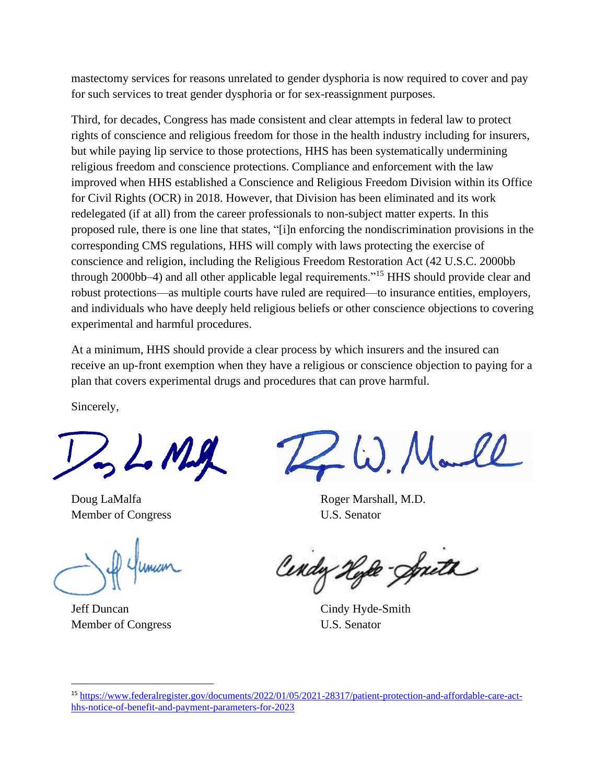mastectomy services for reasons unrelated to gender dysphoria is now required to cover and pay for such services to treat gender dysphoria or for sex-reassignment purposes.

Third, for decades, Congress has made consistent and clear attempts in federal law to protect rights of conscience and religious freedom for those in the health industry including for insurers, but while paying lip service to those protections, HHS has been systematically undermining religious freedom and conscience protections. Compliance and enforcement with the law improved when HHS established a Conscience and Religious Freedom Division within its Office for Civil Rights (OCR) in 2018. However, that Division has been eliminated and its work redelegated (if at all) from the career professionals to non-subject matter experts. In this proposed rule, there is one line that states, "[i]n enforcing the nondiscrimination provisions in the corresponding CMS regulations, HHS will comply with laws protecting the exercise of conscience and religion, including the Religious Freedom Restoration Act (42 U.S.C. 2000bb through 2000bb–4) and all other applicable legal requirements."<sup>15</sup> HHS should provide clear and robust protections—as multiple courts have ruled are required—to insurance entities, employers, and individuals who have deeply held religious beliefs or other conscience objections to covering experimental and harmful procedures.

At a minimum, HHS should provide a clear process by which insurers and the insured can receive an up-front exemption when they have a religious or conscience objection to paying for a plan that covers experimental drugs and procedures that can prove harmful.

Sincerely,

. NLA

Member of Congress U.S. Senator

Jeff Duncan Cindy Hyde-Smith Member of Congress U.S. Senator

G) Marll

Doug LaMalfa Roger Marshall, M.D.

gde-Spith

<sup>15</sup> [https://www.federalregister.gov/documents/2022/01/05/2021-28317/patient-protection-and-affordable-care-act](https://www.federalregister.gov/documents/2022/01/05/2021-28317/patient-protection-and-affordable-care-act-hhs-notice-of-benefit-and-payment-parameters-for-2023)[hhs-notice-of-benefit-and-payment-parameters-for-2023](https://www.federalregister.gov/documents/2022/01/05/2021-28317/patient-protection-and-affordable-care-act-hhs-notice-of-benefit-and-payment-parameters-for-2023)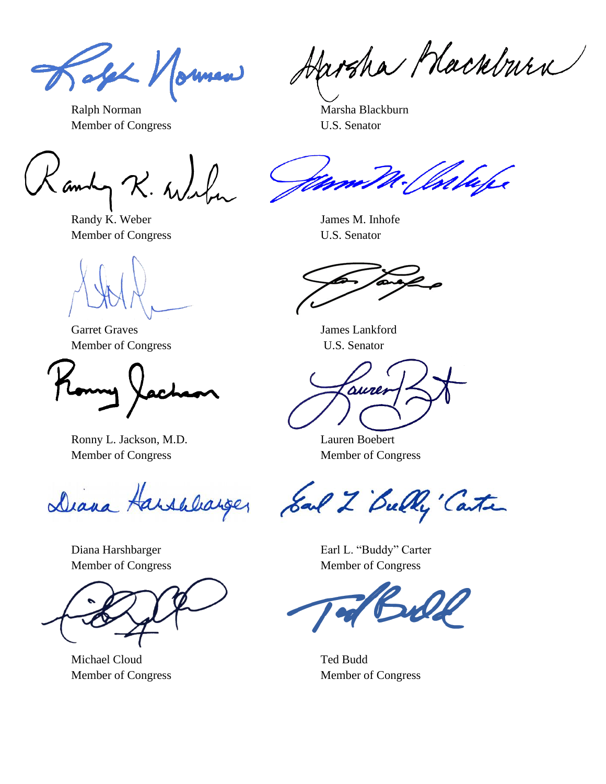old Normea

Ralph Norman Marsha Blackburn Member of Congress U.S. Senator

Harsha Mackburn

and R. Will

Randy K. Weber James M. Inhofe Member of Congress U.S. Senator

Garret Graves James Lankford Member of Congress U.S. Senator

Ronny L. Jackson, M.D. Lauren Boebert Member of Congress Member of Congress

Diana Harshbarger

Michael Cloud Ted Budd Member of Congress Member of Congress

aure

Sal 2 Bully Carte

Diana Harshbarger **Earl L. "Buddy" Carter** Member of Congress Member of Congress